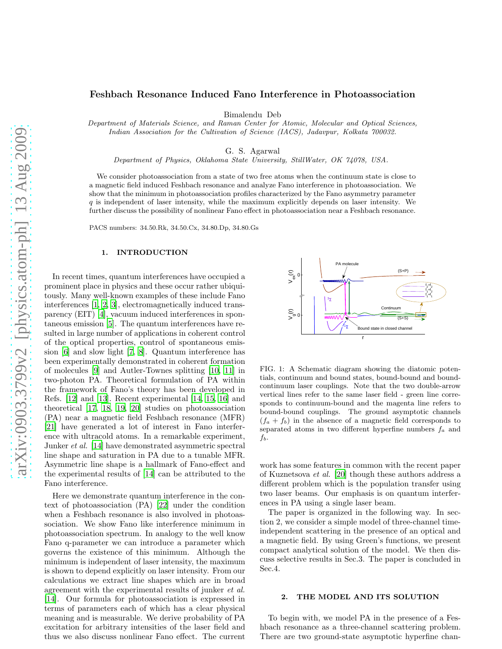# Feshbach Resonance Induced Fano Interference in Photoassociation

Bimalendu Deb

Department of Materials Science, and Raman Center for Atomic, Molecular and Optical Sciences, Indian Association for the Cultivation of Science (IACS), Jadavpur, Kolkata 700032.

G. S. Agarwal

Department of Physics, Oklahoma State University, StillWater, OK 74078, USA.

We consider photoassociation from a state of two free atoms when the continuum state is close to a magnetic field induced Feshbach resonance and analyze Fano interference in photoassociation. We show that the minimum in photoassociation profiles characterized by the Fano asymmetry parameter  $q$  is independent of laser intensity, while the maximum explicitly depends on laser intensity. We further discuss the possibility of nonlinear Fano effect in photoassociation near a Feshbach resonance.

PACS numbers: 34.50.Rk, 34.50.Cx, 34.80.Dp, 34.80.Gs

#### 1. INTRODUCTION

In recent times, quantum interferences have occupied a prominent place in physics and these occur rather ubiquitously. Many well-known examples of these include Fano interferences [\[1](#page-4-0), [2](#page-4-1), [3](#page-4-2)], electromagnetically induced transparency (EIT) [\[4\]](#page-4-3), vacuum induced interferences in spontaneous emission [\[5](#page-4-4)]. The quantum interferences have resulted in large number of applications in coherent control of the optical properties, control of spontaneous emission [\[6\]](#page-4-5) and slow light [\[7,](#page-4-6) [8](#page-4-7)]. Quantum interference has been experimentally demonstrated in coherent formation of molecules [\[9\]](#page-4-8) and Autler-Townes splitting [\[10,](#page-4-9) [11\]](#page-4-10) in two-photon PA. Theoretical formulation of PA within the framework of Fano's theory has been developed in Refs. [\[12\]](#page-4-11) and [\[13\]](#page-4-12). Recent experimental [\[14](#page-4-13), [15](#page-4-14), [16](#page-4-15)] and theoretical [\[17](#page-4-16), [18,](#page-4-17) [19](#page-4-18), [20\]](#page-4-19) studies on photoassociation (PA) near a magnetic field Feshbach resonance (MFR) [\[21\]](#page-5-0) have generated a lot of interest in Fano interference with ultracold atoms. In a remarkable experiment, Junker *et al.* [\[14\]](#page-4-13) have demonstrated asymmetric spectral line shape and saturation in PA due to a tunable MFR. Asymmetric line shape is a hallmark of Fano-effect and the experimental results of [\[14\]](#page-4-13) can be attributed to the Fano interference.

Here we demonstrate quantum interference in the context of photoassociation (PA) [\[22\]](#page-5-1) under the condition when a Feshbach resonance is also involved in photoassociation. We show Fano like interference minimum in photoassociation spectrum. In analogy to the well know Fano q-parameter we can introduce a parameter which governs the existence of this minimum. Although the minimum is independent of laser intensity, the maximum is shown to depend explicitly on laser intensity. From our calculations we extract line shapes which are in broad agreement with the experimental results of junker et al. [\[14\]](#page-4-13). Our formula for photoassociation is expressed in terms of parameters each of which has a clear physical meaning and is measurable. We derive probability of PA excitation for arbitrary intensities of the laser field and thus we also discuss nonlinear Fano effect. The current



FIG. 1: A Schematic diagram showing the diatomic potentials, continuum and bound states, bound-bound and boundcontinuum laser couplings. Note that the two double-arrow vertical lines refer to the same laser field - green line corresponds to continuum-bound and the magenta line refers to bound-bound couplings. The ground asymptotic channels  $(f_a + f_b)$  in the absence of a magnetic field corresponds to separated atoms in two different hyperfine numbers  $f_a$  and  $f_b$ .

work has some features in common with the recent paper of Kuznetsova et al. [\[20\]](#page-4-19) though these authors address a different problem which is the population transfer using two laser beams. Our emphasis is on quantum interferences in PA using a single laser beam.

The paper is organized in the following way. In section 2, we consider a simple model of three-channel timeindependent scattering in the presence of an optical and a magnetic field. By using Green's functions, we present compact analytical solution of the model. We then discuss selective results in Sec.3. The paper is concluded in Sec.4.

#### 2. THE MODEL AND ITS SOLUTION

To begin with, we model PA in the presence of a Feshbach resonance as a three-channel scattering problem. There are two ground-state asymptotic hyperfine chan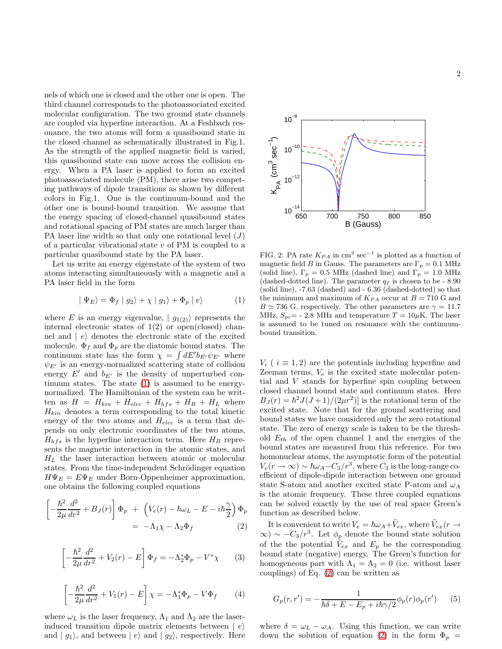nels of which one is closed and the other one is open. The third channel corresponds to the photoassociated excited molecular configuration. The two ground state channels are coupled via hyperfine interaction. At a Feshbach resonance, the two atoms will form a quasibound state in the closed channel as schematically illustrated in Fig.1. As the strength of the applied magnetic field is varied, this quasibound state can move across the collision energy. When a PA laser is applied to form an excited photoassociated molecule (PM), there arise two competing pathways of dipole transitions as shown by different colors in Fig.1. One is the continuum-bound and the other one is bound-bound transition. We assume that the energy spacing of closed-channel quasibound states and rotational spacing of PM states are much larger than PA laser line width so that only one rotational level  $(J)$ of a particular vibrational state  $v$  of PM is coupled to a particular quasibound state by the PA laser.

Let us write an energy eigenstate of the system of two atoms interacting simultaneously with a magnetic and a PA laser field in the form

<span id="page-1-0"></span>
$$
|\Psi_E\rangle = \Phi_f |g_2\rangle + \chi |g_1\rangle + \Phi_p |e\rangle \tag{1}
$$

where E is an energy eigenvalue,  $|g_{1(2)}\rangle$  represents the internal electronic states of  $1(2)$  or open(closed) channel and  $|e\rangle$  denotes the electronic state of the excited molecule.  $\Phi_f$  and  $\Phi_p$  are the diatomic bound states. The continuum state has the form  $\chi = \int dE' b_{E'} \psi_{E'}$  where  $\psi_{E'}$  is an energy-normalized scattering state of collision energy  $E'$  and  $b_{E'}$  is the density of unperturbed continuum states. The state [\(1\)](#page-1-0) is assumed to be energynormalized. The Hamiltonian of the system can be written as  $H = H_{kin} + H_{elec} + H_{hfs} + H_B + H_L$  where  $H_{kin}$  denotes a term corresponding to the total kinetic energy of the two atoms and  $H_{elec}$  is a term that depends on only electronic coordinates of the two atoms,  $H_{hfs}$  is the hyperfine interaction term. Here  $H_B$  represents the magnetic interaction in the atomic states, and  $H_L$  the laser interaction between atomic or molecular states. From the time-independent Schrödinger equation  $H\Psi_E = E\Psi_E$  under Born-Oppenheimer approximation, one obtains the following coupled equations

<span id="page-1-1"></span>
$$
\left[-\frac{\hbar^2}{2\mu}\frac{d^2}{dr^2} + B_J(r)\right]\Phi_p + \left(V_e(r) - \hbar\omega_L - E - i\hbar\frac{\gamma}{2}\right)\Phi_p
$$
  
= -\Lambda\_1\chi - \Lambda\_2\Phi\_f (2)

<span id="page-1-2"></span> $\lceil$ 

$$
-\frac{\hbar^2}{2\mu}\frac{d^2}{dr^2} + V_2(r) - E\bigg]\Phi_f = -\Lambda_2^* \Phi_p - V^* \chi \qquad (3)
$$

<span id="page-1-3"></span>
$$
\left[ -\frac{\hbar^2}{2\mu} \frac{d^2}{dr^2} + V_1(r) - E \right] \chi = -\Lambda_1^* \Phi_p - V \Phi_f \qquad (4)
$$

where  $\omega_L$  is the laser frequency,  $\Lambda_1$  and  $\Lambda_2$  are the laserinduced transition dipole matrix elements between  $|e\rangle$ and  $| g_1 \rangle$ , and between  $| e \rangle$  and  $| g_2 \rangle$ , respectively. Here



FIG. 2: PA rate  $K_{PA}$  in cm<sup>3</sup> sec<sup>-1</sup> is plotted as a function of magnetic field B in Gauss. The parameters are  $\Gamma_p = 0.1$  MHz (solid line),  $\Gamma_p = 0.5$  MHz (dashed line) and  $\Gamma_p = 1.0$  MHz (dashed-dotted line). The parameter  $q_f$  is chosen to be - 8.90 (solid line), -7.63 (dashed) and - 6.36 (dashed-dotted) so that the minimum and maximum of  $K_{PA}$  occur at  $B = 710$  G and  $B \simeq 736$  G, respectively. The other parameters are  $\gamma = 11.7$ MHz,  $S_{pc}$  = - 2.8 MHz and temperature  $T = 10 \mu$ K. The laser is assumed to be tuned on resonance with the continuumbound transition.

 $V_i$  (  $i \equiv 1, 2$ ) are the potentials including hyperfine and Zeeman terms,  $V_e$  is the excited state molecular potential and V stands for hyperfine spin coupling between closed channel bound state and continuum states. Here  $B_J(r) = \hbar^2 J(J+1)/(2\mu r^2)$  is the rotational term of the excited state. Note that for the ground scattering and bound states we have considered only the zero rotational state. The zero of energy scale is taken to be the threshold  $E_{th}$  of the open channel 1 and the energies of the bound states are measured from this reference. For two homonuclear atoms, the asymptotic form of the potential  $V_e(r \to \infty) \sim \hbar \omega_A - C_3/r^3$ , where  $C_3$  is the long-range coefficient of dipole-dipole interaction between one ground state S-atom and another excited state P-atom and  $\omega_A$ is the atomic frequency. These three coupled equations can be solved exactly by the use of real space Green's function as described below.

It is convenient to write  $V_e = \hbar \omega_A + \tilde{V}_{ex}$ , where  $\tilde{V}_{ex}(r \rightarrow$  $\infty$ ) ~ −C<sub>3</sub>/r<sup>3</sup>. Let  $\phi_p$  denote the bound state solution of the the potential  $\tilde{V}_{ex}$  and  $E_p$  be the corresponding bound state (negative) energy. The Green's function for homogeneous part with  $\Lambda_1 = \Lambda_2 = 0$  (i.e. without laser couplings) of Eq. [\(2\)](#page-1-1) can be written as

$$
G_p(r,r') = -\frac{1}{\hbar \delta + E - E_p + i\hbar \gamma/2} \phi_p(r) \phi_p(r') \qquad (5)
$$

where  $\delta = \omega_L - \omega_A$ . Using this function, we can write down the solution of equation [\(2\)](#page-1-1) in the form  $\Phi_p =$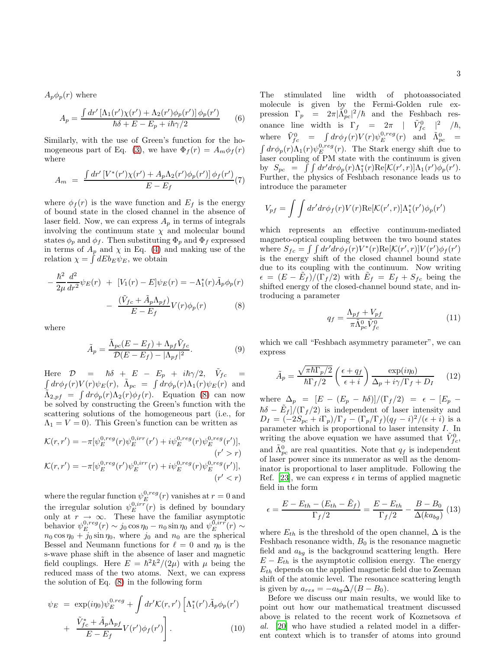$A_p\phi_p(r)$  where

$$
A_p = \frac{\int dr' \left[ \Lambda_1(r') \chi(r') + \Lambda_2(r') \phi_p(r') \right] \phi_p(r')}{\hbar \delta + E - E_p + i\hbar \gamma/2} \tag{6}
$$

Similarly, with the use of Green's function for the ho-mogeneous part of Eq. [\(3\)](#page-1-2), we have  $\Phi_f(r) = A_m \phi_f(r)$ where

$$
A_m = \frac{\int dr' \left[ V^*(r') \chi(r') + A_p \Lambda_2(r') \phi_p(r') \right] \phi_f(r')}{E - E_f} \tag{7}
$$

where  $\phi_f(r)$  is the wave function and  $E_f$  is the energy of bound state in the closed channel in the absence of laser field. Now, we can express  $A_n$  in terms of integrals involving the continuum state  $\chi$  and molecular bound states  $\phi_p$  and  $\phi_f$ . Then substituting  $\Phi_p$  and  $\Phi_f$  expressed in terms of  $A_p$  and  $\chi$  in Eq. [\(4\)](#page-1-3) and making use of the relation  $\chi = \int dE b_E \psi_E$ , we obtain

<span id="page-2-0"></span>
$$
-\frac{\hbar^2}{2\mu}\frac{d^2}{dr^2}\psi_E(r) + [V_1(r) - E]\psi_E(r) = -\Lambda_1^*(r)\tilde{A}_p\phi_p(r)
$$

$$
-\frac{(\tilde{V}_{fc} + \tilde{A}_p\Lambda_{pf})}{E - E_f}V(r)\phi_p(r) \tag{8}
$$

where

$$
\tilde{A}_p = \frac{\tilde{\Lambda}_{pc}(E - E_f) + \Lambda_{pf}\tilde{V}_{fc}}{\mathcal{D}(E - E_f) - |\Lambda_{pf}|^2}.
$$
\n(9)

Here  $\mathcal{D}$  =  $\hbar \delta$  +  $E$  -  $E_p$  +  $i\hbar \gamma/2$ ,  $\tilde{V}_{fc}$  =  $\int dr \phi_f(r) V(r) \psi_E(r)$ ,  $\tilde{\Lambda}_{pc} = \int dr \phi_p(r) \Lambda_1(r) \psi_E(r)$  and  $\tilde{\Lambda}_{2,pf} = \int dr \phi_p(r) \Lambda_2(r) \phi_f(r)$ . Equation [\(8\)](#page-2-0) can now be solved by constructing the Green's function with the scattering solutions of the homogeneous part (i.e., for  $\Lambda_1 = V = 0$ ). This Green's function can be written as

$$
\mathcal{K}(r,r') = -\pi [\psi_E^{0,reg}(r)\psi_E^{0,irr}(r') + i\psi_E^{0,reg}(r)\psi_E^{0,reg}(r')],
$$
  
\n
$$
(r' > r)
$$
  
\n
$$
\mathcal{K}(r,r') = -\pi [\psi_E^{0,reg}(r')\psi_E^{0,irr}(r) + i\psi_E^{0,reg}(r)\psi_E^{0,reg}(r')],
$$
  
\n
$$
(r' < r)
$$

where the regular function  $\psi_E^{0,reg}(r)$  vanishes at  $r=0$  and the irregular solution  $\psi_E^{0,irr}(r)$  is defined by boundary only at  $r \to \infty$ . These have the familiar asymptotic behavior  $\psi_E^{0,reg}(r) \sim j_0 \cos \eta_0 - n_0 \sin \eta_0$  and  $\psi_E^{0,irr}(r) \sim$  $n_0 \cos \eta_0 + j_0 \sin \eta_0$ , where  $j_0$  and  $n_0$  are the spherical Bessel and Neumann functions for  $\ell = 0$  and  $\eta_0$  is the s-wave phase shift in the absence of laser and magnetic field couplings. Here  $E = \hbar^2 k^2/(2\mu)$  with  $\mu$  being the reduced mass of the two atoms. Next, we can express the solution of Eq. [\(8\)](#page-2-0) in the following form

$$
\psi_E = \exp(i\eta_0)\psi_E^{0,reg} + \int dr' \mathcal{K}(r,r') \left[\Lambda_1^*(r')\tilde{A}_p\phi_p(r')\right] + \frac{\tilde{V}_{fc}^* + \tilde{A}_p\Lambda_{pf}}{E - E_f}V(r')\phi_f(r')\Bigg].
$$
\n(10)

The stimulated line width of photoassociated molecule is given by the Fermi-Golden rule expression  $\Gamma_p = 2\pi |\tilde{\Lambda}_{pc}^0|^2/\hbar$  and the Feshbach resonance line width is  $\Gamma_f = 2\pi \mid \tilde{V}_{fc}^0 \mid^2 \neq \hbar$ , where  $\tilde{V}_{fc}^0$  =  $\int dr \phi_f(r) V(r) \psi_E^{0,reg}(r)$  and  $\tilde{\Lambda}_{pc}^0$  =  $\int dr \phi_p(r) \Lambda_1(r) \psi_E^{0,reg}(r)$ . The Stark energy shift due to laser coupling of PM state with the continuum is given by  $S_{pc} = \int \int dr' dr \phi_p(r) \Lambda_1^*(r) \text{Re}[\mathcal{K}(r',r)] \Lambda_1(r') \phi_p(r').$ Further, the physics of Feshbach resonance leads us to introduce the parameter

$$
V_{pf} = \int \int dr' dr \phi_f(r) V(r) \text{Re}[\mathcal{K}(r',r)] \Lambda_1^*(r') \phi_p(r')
$$

which represents an effective continuum-mediated magneto-optical coupling between the two bound states where  $S_{fc} = \int \int dr' dr \phi_f(r) V^*(r) \text{Re}[\mathcal{K}(r',r)] V(r') \phi_f(r')$ is the energy shift of the closed channel bound state due to its coupling with the continuum. Now writing  $\epsilon = (E - \tilde{E}_f) / (\Gamma_f / 2)$  with  $\tilde{E}_f = E_f + S_{fc}$  being the shifted energy of the closed-channel bound state, and introducing a parameter

$$
q_f = \frac{\Lambda_{pf} + V_{pf}}{\pi \tilde{\Lambda}_{pc}^0 \tilde{V}_{fc}^0}
$$
 (11)

which we call "Feshbach asymmetry parameter", we can express

<span id="page-2-1"></span>
$$
\tilde{A}_p = \frac{\sqrt{\pi \hbar \Gamma_p/2}}{\hbar \Gamma_f/2} \left(\frac{\epsilon + q_f}{\epsilon + i}\right) \frac{\exp(i\eta_0)}{\Delta_p + i\gamma/\Gamma_f + D_I} \tag{12}
$$

where  $\Delta_p = [E - (E_p - \hbar \delta)]/(\Gamma_f/2) = \epsilon - [E_p \hbar \delta - \tilde{E}_f$ / $(\Gamma_f/2)$  is independent of laser intensity and  $D_I = \frac{(-2S_{pc} + i\Gamma_p)}{\Gamma_f} - \frac{\Gamma_p}{\Gamma_f} \frac{q_f - i^2}{(q_f - i)^2}$ parameter which is proportional to laser intensity I. In writing the above equation we have assumed that  $\tilde{V}_{fc}^0$ , and  $\tilde{\Lambda}_{pc}^0$  are real quantities. Note that  $q_f$  is independent of laser power since its numerator as well as the denominator is proportional to laser amplitude. Following the Ref. [\[23](#page-5-2)], we can express  $\epsilon$  in terms of applied magnetic field in the form

$$
\epsilon = \frac{E - E_{th} - (E_{th} - \tilde{E}_f)}{\Gamma_f/2} = \frac{E - E_{th}}{\Gamma_f/2} - \frac{B - B_0}{\Delta(k a_{bg})} (13)
$$

where  $E_{th}$  is the threshold of the open channel,  $\Delta$  is the Feshbach resonance width,  $B_0$  is the resonance magnetic field and  $a_{bq}$  is the background scattering length. Here  $E - E_{th}$  is the asymptotic collision energy. The energy  $E_{th}$  depends on the applied magnetic field due to Zeeman shift of the atomic level. The resonance scattering length is given by  $a_{res} = -a_{bg} \Delta/(B - B_0)$ .

Before we discuss our main results, we would like to point out how our mathematical treatment discussed above is related to the recent work of Koznetsova et al. [\[20\]](#page-4-19) who have studied a related model in a different context which is to transfer of atoms into ground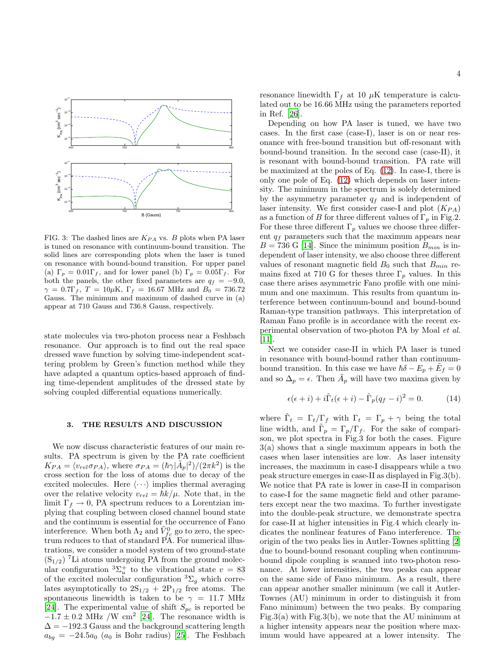

FIG. 3: The dashed lines are  $K_{PA}$  vs. B plots when PA laser is tuned on resonance with continuum-bound transition. The solid lines are corresponding plots when the laser is tuned on resonance with bound-bound transition. For upper panel (a)  $\Gamma_p = 0.01 \Gamma_f$ , and for lower panel (b)  $\Gamma_p = 0.05 \Gamma_f$ . For both the panels, the other fixed parameters are  $q_f = -9.0$ ,  $\gamma = 0.7\Gamma_f, T = 10\mu K, \Gamma_f = 16.67 \text{ MHz and } B_0 = 736.72$ Gauss. The minimum and maximum of dashed curve in (a) appear at 710 Gauss and 736.8 Gauss, respectively.

state molecules via two-photon process near a Feshbach resonance. Our approach is to find out the real space dressed wave function by solving time-independent scattering problem by Green's function method while they have adapted a quantum optics-based approach of finding time-dependent amplitudes of the dressed state by solving coupled differential equations numerically.

### 3. THE RESULTS AND DISCUSSION

We now discuss characteristic features of our main results. PA spectrum is given by the PA rate coefficient  $K_{PA} = \langle v_{rel} \sigma_{PA} \rangle$ , where  $\sigma_{PA} = (\hbar \gamma |\tilde{A}_p|^2)/(2\pi k^2)$  is the cross section for the loss of atoms due to decay of the excited molecules. Here  $\langle \cdots \rangle$  implies thermal averaging over the relative velocity  $v_{rel} = \hbar k/\mu$ . Note that, in the limit  $\Gamma_f \to 0$ , PA spectrum reduces to a Lorentzian implying that coupling between closed channel bound state and the continuum is essential for the occurrence of Fano interference. When both  $\Lambda_2$  and  $\tilde{V}_{fc}^0$  go to zero, the spectrum reduces to that of standard PA. For numerical illustrations, we consider a model system of two ground-state  $(S_{1/2})$ <sup>7</sup>Li atoms undergoing PA from the ground molecular configuration  ${}^{3}\Sigma_{u}^{+}$  to the vibrational state  $v = 83$ of the excited molecular configuration  ${}^{3}\Sigma_{g}$  which correlates asymptotically to  $2S_{1/2} + 2P_{1/2}$  free atoms. The spontaneous linewidth is taken to be  $\gamma = 11.7$  MHz [\[24\]](#page-5-3). The experimental value of shift  $S_{pc}$  is reported be  $-1.7 \pm 0.2$  MHz /W cm<sup>2</sup> [\[24](#page-5-3)]. The resonance width is  $\Delta = -192.3$  Gauss and the background scattering length  $a_{bg} = -24.5a_0$  ( $a_0$  is Bohr radius) [\[25](#page-5-4)]. The Feshbach

resonance linewidth  $\Gamma_f$  at 10  $\mu$ K temperature is calculated out to be 16.66 MHz using the parameters reported in Ref. [\[26](#page-5-5)].

Depending on how PA laser is tuned, we have two cases. In the first case (case-I), laser is on or near resonance with free-bound transition but off-resonant with bound-bound transition. In the second case (case-II), it is resonant with bound-bound transition. PA rate will be maximized at the poles of Eq. [\(12\)](#page-2-1). In case-I, there is only one pole of Eq. [\(12\)](#page-2-1) which depends on laser intensity. The minimum in the spectrum is solely determined by the asymmetry parameter  $q_f$  and is independent of laser intensity. We first consider case-I and plot  $(K_{PA})$ as a function of B for three different values of  $\Gamma_p$  in Fig.2. For these three different  $\Gamma_p$  values we choose three different  $q_f$  parameters such that the maximum appears near  $B = 736$  G [\[14](#page-4-13)]. Since the minimum position  $B_{min}$  is independent of laser intensity, we also choose three different values of resonant magnetic field  $B_0$  such that  $B_{min}$  remains fixed at 710 G for theses three  $\Gamma_p$  values. In this case there arises asymmetric Fano profile with one minimum and one maximum. This results from quantum interference between continuum-bound and bound-bound Raman-type transition pathways. This interpretation of Raman Fano profile is in accordance with the recent experimental observation of two-photon PA by Moal et al. [\[11\]](#page-4-10).

Next we consider case-II in which PA laser is tuned in resonance with bound-bound rather than continuumbound transition. In this case we have  $\hbar \delta - E_p + \tilde{E}_f = 0$ and so  $\Delta_p = \epsilon$ . Then  $\tilde{A}_p$  will have two maxima given by

$$
\epsilon(\epsilon + i) + i\tilde{\Gamma}_t(\epsilon + i) - \tilde{\Gamma}_p(q_f - i)^2 = 0.
$$
 (14)

where  $\tilde{\Gamma}_t = \Gamma_t/\Gamma_f$  with  $\Gamma_t = \Gamma_p + \gamma$  being the total line width, and  $\tilde{\Gamma}_p = \Gamma_p/\Gamma_f$ . For the sake of comparison, we plot spectra in Fig.3 for both the cases. Figure 3(a) shows that a single maximum appears in both the cases when laser intensities are low. As laser intensity increases, the maximum in case-I disappears while a two peak structure emerges in case-II as displayed in Fig.3(b). We notice that PA rate is lower in case-II in comparison to case-I for the same magnetic field and other parameters except near the two maxima. To further investigate into the double-peak structure, we demonstrate spectra for case-II at higher intensities in Fig.4 which clearly indicates the nonlinear features of Fano interference. The origin of the two peaks lies in Autler-Townes splitting [\[2](#page-4-1)] due to bound-bound resonant coupling when continuumbound dipole coupling is scanned into two-photon resonance. At lower intensities, the two peaks can appear on the same side of Fano minimum. As a result, there can appear another smaller minimum (we call it Autler-Townes (AU) minimum in order to distinguish it from Fano minimum) between the two peaks. By comparing Fig.3(a) with Fig.3(b), we note that the AU minimum at a higher intensity appears near the position where maximum would have appeared at a lower intensity. The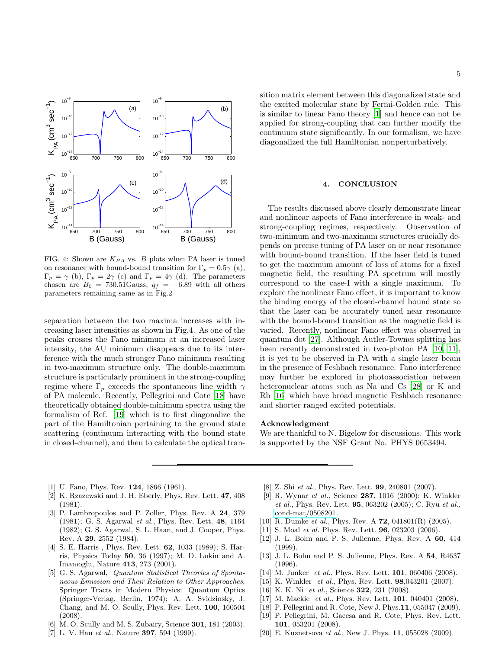

FIG. 4: Shown are  $K_{PA}$  vs. B plots when PA laser is tuned on resonance with bound-bound transition for  $\Gamma_p = 0.5\gamma$  (a),  $\Gamma_p = \gamma$  (b),  $\Gamma_p = 2\gamma$  (c) and  $\Gamma_p = 4\gamma$  (d). The parameters chosen are  $B_0 = 730.51$ Gauss,  $q_f = -6.89$  with all others parameters remaining same as in Fig.2

separation between the two maxima increases with increasing laser intensities as shown in Fig.4. As one of the peaks crosses the Fano minimum at an increased laser intensity, the AU minimum disappears due to its interference with the much stronger Fano minimum resulting in two-maximum structure only. The double-maximum structure is particularly prominent in the strong-coupling regime where  $\Gamma_p$  exceeds the spontaneous line width  $\gamma$ of PA molecule. Recently, Pellegrini and Cote [\[18](#page-4-17)] have theoretically obtained double-minimum spectra using the formalism of Ref. [\[19\]](#page-4-18) which is to first diagonalize the part of the Hamiltonian pertaining to the ground state scattering (continuum interacting with the bound state in closed-channel), and then to calculate the optical transition matrix element between this diagonalized state and the excited molecular state by Fermi-Golden rule. This is similar to linear Fano theory [\[1\]](#page-4-0) and hence can not be applied for strong-coupling that can further modify the continuum state significantly. In our formalism, we have diagonalized the full Hamiltonian nonperturbatively.

## 4. CONCLUSION

The results discussed above clearly demonstrate linear and nonlinear aspects of Fano interference in weak- and strong-coupling regimes, respectively. Observation of two-minimum and two-maximum structures crucially depends on precise tuning of PA laser on or near resonance with bound-bound transition. If the laser field is tuned to get the maximum amount of loss of atoms for a fixed magnetic field, the resulting PA spectrum will mostly correspond to the case-I with a single maximum. To explore the nonlinear Fano effect, it is important to know the binding energy of the closed-channel bound state so that the laser can be accurately tuned near resonance with the bound-bound transition as the magnetic field is varied. Recently, nonlinear Fano effect was observed in quantum dot [\[27\]](#page-5-6). Although Autler-Townes splitting has been recently demonstrated in two-photon PA [\[10,](#page-4-9) [11\]](#page-4-10), it is yet to be observed in PA with a single laser beam in the presence of Feshbach resonance. Fano interference may further be explored in photoassociation between heteronuclear atoms such as Na and Cs [\[28](#page-5-7)] or K and Rb [\[16](#page-4-15)] which have broad magnetic Feshbach resonance and shorter ranged excited potentials.

### Acknowledgment

We are thankful to N. Bigelow for discussions. This work is supported by the NSF Grant No. PHYS 0653494.

- <span id="page-4-0"></span>[1] U. Fano, Phys. Rev. 124, 1866 (1961).
- <span id="page-4-1"></span>[2] K. Rzazewski and J. H. Eberly, Phys. Rev. Lett. 47, 408 (1981).
- <span id="page-4-2"></span>[3] P. Lambropoulos and P. Zoller, Phys. Rev. A 24, 379 (1981); G. S. Agarwal et al., Phys. Rev. Lett. 48, 1164 (1982); G. S. Agarwal, S. L. Haan, and J. Cooper, Phys. Rev. A 29, 2552 (1984).
- <span id="page-4-3"></span>[4] S. E. Harris, Phys. Rev. Lett. **62**, 1033 (1989); S. Harris, Physics Today 50, 36 (1997); M. D. Lukin and A. Imamoglu, Nature 413, 273 (2001).
- <span id="page-4-4"></span>[5] G. S. Agarwal, Quantum Statistical Theories of Spontaneous Emission and Their Relation to Other Approaches, Springer Tracts in Modern Physics: Quantum Optics (Springer-Verlag, Berlin, 1974); A. A. Svidzinsky, J. Chang, and M. O. Scully, Phys. Rev. Lett. 100, 160504 (2008).
- <span id="page-4-5"></span>[6] M. O. Scully and M. S. Zubairy, Science **301**, 181 (2003).
- <span id="page-4-6"></span>[7] L. V. Hau *et al.*, Nature **397**, 594 (1999).
- <span id="page-4-7"></span>[8] Z. Shi et al., Phys. Rev. Lett. **99**, 240801 (2007).
- <span id="page-4-8"></span>[9] R. Wynar et al., Science 287, 1016 (2000); K. Winkler et al., Phys. Rev. Lett. 95, 063202 (2005); C. Ryu et al., [cond-mat/0508201.](http://arxiv.org/abs/cond-mat/0508201)
- <span id="page-4-9"></span>[10] R. Dumke et al., Phys. Rev. A  $72$ , 041801(R) (2005).
- <span id="page-4-10"></span>[11] S. Moal *et al.* Phys. Rev. Lett. **96**, 023203 (2006).
- <span id="page-4-11"></span>[12] J. L. Bohn and P. S. Julienne, Phys. Rev. A 60, 414 (1999).
- <span id="page-4-12"></span>[13] J. L. Bohn and P. S. Julienne, Phys. Rev. A 54, R4637 (1996).
- <span id="page-4-13"></span>[14] M. Junker et al., Phys. Rev. Lett. **101**, 060406 (2008).
- <span id="page-4-14"></span>[15] K. Winkler *et al.*, Phys. Rev. Lett. **98**,043201 (2007).
- <span id="page-4-15"></span>[16] K. K. Ni et al., Science **322**, 231 (2008).
- <span id="page-4-16"></span>[17] M. Mackie et al., Phys. Rev. Lett. **101**, 040401 (2008).
- <span id="page-4-17"></span>[18] P. Pellegrini and R. Cote, New J. Phys.11, 055047 (2009).
- <span id="page-4-18"></span>[19] P. Pellegrini, M. Gacesa and R. Cote, Phys. Rev. Lett. 101, 053201 (2008).
- <span id="page-4-19"></span>[20] E. Kuznetsova *et al.*, New J. Phys. **11**, 055028 (2009).